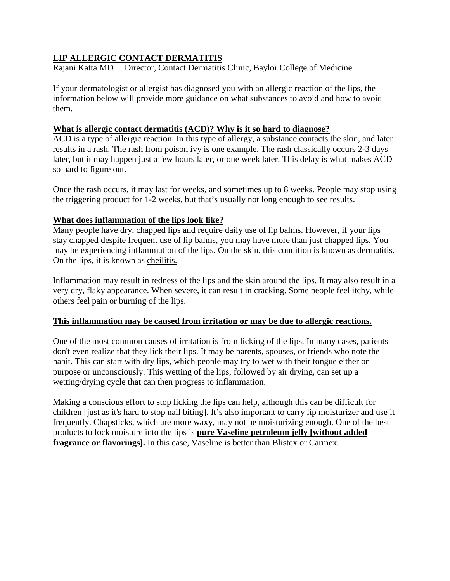## **LIP ALLERGIC CONTACT DERMATITIS**

Rajani Katta MD Director, Contact Dermatitis Clinic, Baylor College of Medicine

If your dermatologist or allergist has diagnosed you with an allergic reaction of the lips, the information below will provide more guidance on what substances to avoid and how to avoid them.

#### **What is allergic contact dermatitis (ACD)? Why is it so hard to diagnose?**

ACD is a type of allergic reaction. In this type of allergy, a substance contacts the skin, and later results in a rash. The rash from poison ivy is one example. The rash classically occurs 2-3 days later, but it may happen just a few hours later, or one week later. This delay is what makes ACD so hard to figure out.

Once the rash occurs, it may last for weeks, and sometimes up to 8 weeks. People may stop using the triggering product for 1-2 weeks, but that's usually not long enough to see results.

### **What does inflammation of the lips look like?**

Many people have dry, chapped lips and require daily use of lip balms. However, if your lips stay chapped despite frequent use of lip balms, you may have more than just chapped lips. You may be experiencing inflammation of the lips. On the skin, this condition is known as dermatitis. On the lips, it is known as cheilitis.

Inflammation may result in redness of the lips and the skin around the lips. It may also result in a very dry, flaky appearance. When severe, it can result in cracking. Some people feel itchy, while others feel pain or burning of the lips.

#### **This inflammation may be caused from irritation or may be due to allergic reactions.**

One of the most common causes of irritation is from licking of the lips. In many cases, patients don't even realize that they lick their lips. It may be parents, spouses, or friends who note the habit. This can start with dry lips, which people may try to wet with their tongue either on purpose or unconsciously. This wetting of the lips, followed by air drying, can set up a wetting/drying cycle that can then progress to inflammation.

Making a conscious effort to stop licking the lips can help, although this can be difficult for children [just as it's hard to stop nail biting]. It's also important to carry lip moisturizer and use it frequently. Chapsticks, which are more waxy, may not be moisturizing enough. One of the best products to lock moisture into the lips is **pure Vaseline petroleum jelly [without added fragrance or flavorings].** In this case, Vaseline is better than Blistex or Carmex.